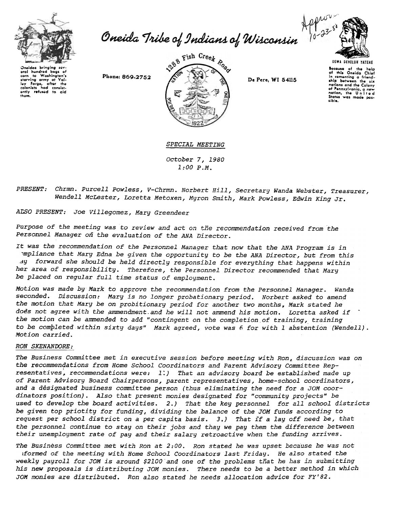

Oneida Tribe of Indians of Wisconsin



**UGWA BEHOLUH YATEHE** 

oral hundrod aas af corn to Washington's starving army at Valley Forge, after the<br>colonists had consistcolonists had consist-<br>ontly refused to aid thom.

Phone: 869-2752



De Pere, WI 54115

Because of the help<br>of this Oneida Chief<br>in comenting a friendship botween the six ship between the sin<br>nations and the Colony<br>of Pennsylvania, a new<br>nation, the United nation, the United<br>States was made pos-

SPECIAL MEETING October 7, 1980

 $1:00 P.M.$ 

PRESENT: Chrmn. Purcell Powless, V-Chrmn. Norbert Hill, Secretary Wanda Webster, Treasurer, Wendell McLester, Loretta Metoxen, Myron Smith, Mark Powless, Edwin King Jr.

ALSO PRESENT: Joe Villegomez, Mary Greendeer

Purpose of the meeting was to review and act on the recommendation received from the Personnel Manager on the evaluation of the ANA Director.

It was the recommendation of the Personnel Manager that now that the ANA Program is in mpliance that Mary Edna be given the opportunity to be the ANA Director, but from this ay forward she should be held directly responsible for everything that happens within her area of responsibility. Therefore, the Personnel Director recommended that Mary be placed on regular full time status of employment.

Motion was made by Mark to approve the recommendation from the Personnel Manager. Wanda seconded. Discussion: Mary is no longer probationary period. Norbert asked to amend the motion that Mary be on probitionary period for another two months, Mark stated he does not agree with the ammendment and he will not ammend his motion. Loretta asked if the motion can be ammended to add "contingent on the completion of training, training to be completed within sixty days" Mark agreed, vote was 6 for with 1 abstention (Wendell). Motion carried.

## **RON SKENANDORE:**

The Business Committee met in executive session before meeting with Ron, discussion was on the recommendations from Home School Coordinators and Parent Advisory Committee Representatives, recommendations were: 1.) That an advisory board be established made up of Parent Advisory Board Chairpersons, parent representatives, home-school coordinators, and a designated business committee person (thus eliminating the need for a JOM coordinators position). Also that present monies designated for "community projects" be used to develop the board activities. 2.) That the key personnel for all school districts be given top priotity for funding, dividing the balance of the JOM funds according to request per school district on a per capita basis. 3.) That if a lay off need be, that the personnel continue to stay on their jobs and thay we pay them the difference between their unemployment rate of pay and their salary retroactive when the funding arrives.

The Business Committee met with Ron at 2:00. Ron stated he was upset because he was not iformed of the meeting with Home School Coordinators last Friday. He also stated the weekly payroll for JOM is around \$2100 and one of the problems that he has in submitting his new proposals is distributing JOM monies. There needs to be a better method in which JOM monies are distributed. Ron also stated he needs allocation advice for FY'82.